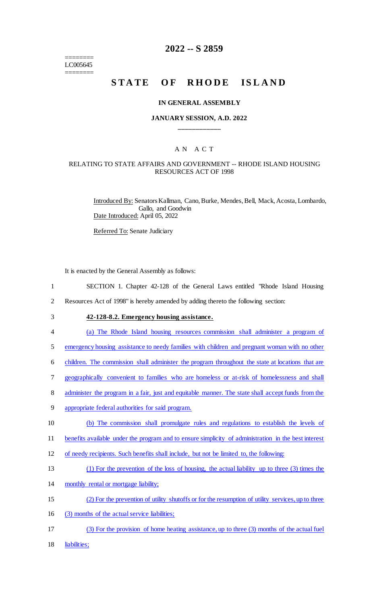======== LC005645 ========

## **2022 -- S 2859**

# **STATE OF RHODE ISLAND**

#### **IN GENERAL ASSEMBLY**

#### **JANUARY SESSION, A.D. 2022 \_\_\_\_\_\_\_\_\_\_\_\_**

## A N A C T

#### RELATING TO STATE AFFAIRS AND GOVERNMENT -- RHODE ISLAND HOUSING RESOURCES ACT OF 1998

Introduced By: Senators Kallman, Cano, Burke, Mendes, Bell, Mack, Acosta, Lombardo, Gallo, and Goodwin Date Introduced: April 05, 2022

Referred To: Senate Judiciary

It is enacted by the General Assembly as follows:

- 1 SECTION 1. Chapter 42-128 of the General Laws entitled "Rhode Island Housing
- 2 Resources Act of 1998" is hereby amended by adding thereto the following section:
- 

## 3 **42-128-8.2. Emergency housing assistance.**

4 (a) The Rhode Island housing resources commission shall administer a program of

5 emergency housing assistance to needy families with children and pregnant woman with no other

6 children. The commission shall administer the program throughout the state at locations that are

- 7 geographically convenient to families who are homeless or at-risk of homelessness and shall
- 8 administer the program in a fair, just and equitable manner. The state shall accept funds from the
- 9 appropriate federal authorities for said program.
- 10 (b) The commission shall promulgate rules and regulations to establish the levels of

11 benefits available under the program and to ensure simplicity of administration in the best interest

- 12 of needy recipients. Such benefits shall include, but not be limited to, the following:
- 13 (1) For the prevention of the loss of housing, the actual liability up to three (3) times the
- 14 monthly rental or mortgage liability;
- 15 (2) For the prevention of utility shutoffs or for the resumption of utility services, up to three
- 16 (3) months of the actual service liabilities;
- 17 (3) For the provision of home heating assistance, up to three (3) months of the actual fuel
- 18 liabilities;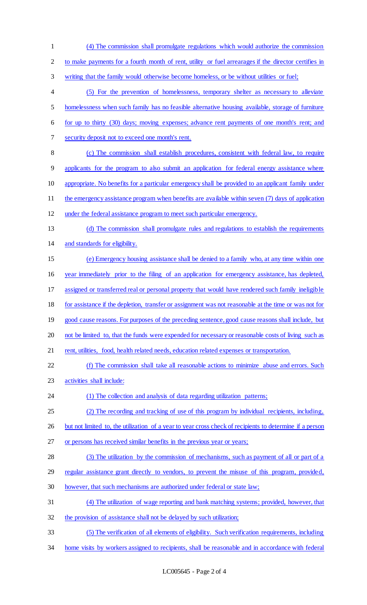(4) The commission shall promulgate regulations which would authorize the commission to make payments for a fourth month of rent, utility or fuel arrearages if the director certifies in writing that the family would otherwise become homeless, or be without utilities or fuel; (5) For the prevention of homelessness, temporary shelter as necessary to alleviate homelessness when such family has no feasible alternative housing available, storage of furniture for up to thirty (30) days; moving expenses; advance rent payments of one month's rent; and security deposit not to exceed one month's rent. (c) The commission shall establish procedures, consistent with federal law, to require applicants for the program to also submit an application for federal energy assistance where appropriate. No benefits for a particular emergency shall be provided to an applicant family under 11 the emergency assistance program when benefits are available within seven (7) days of application under the federal assistance program to meet such particular emergency. (d) The commission shall promulgate rules and regulations to establish the requirements and standards for eligibility. (e) Emergency housing assistance shall be denied to a family who, at any time within one year immediately prior to the filing of an application for emergency assistance, has depleted, assigned or transferred real or personal property that would have rendered such family ineligible for assistance if the depletion, transfer or assignment was not reasonable at the time or was not for good cause reasons. For purposes of the preceding sentence, good cause reasons shall include, but 20 not be limited to, that the funds were expended for necessary or reasonable costs of living such as 21 rent, utilities, food, health related needs, education related expenses or transportation. (f) The commission shall take all reasonable actions to minimize abuse and errors. Such activities shall include: 24 (1) The collection and analysis of data regarding utilization patterns; (2) The recording and tracking of use of this program by individual recipients, including, 26 but not limited to, the utilization of a year to year cross check of recipients to determine if a person or persons has received similar benefits in the previous year or years; 28 (3) The utilization by the commission of mechanisms, such as payment of all or part of a regular assistance grant directly to vendors, to prevent the misuse of this program, provided, however, that such mechanisms are authorized under federal or state law; (4) The utilization of wage reporting and bank matching systems; provided, however, that 32 the provision of assistance shall not be delayed by such utilization; (5) The verification of all elements of eligibility. Such verification requirements, including 34 home visits by workers assigned to recipients, shall be reasonable and in accordance with federal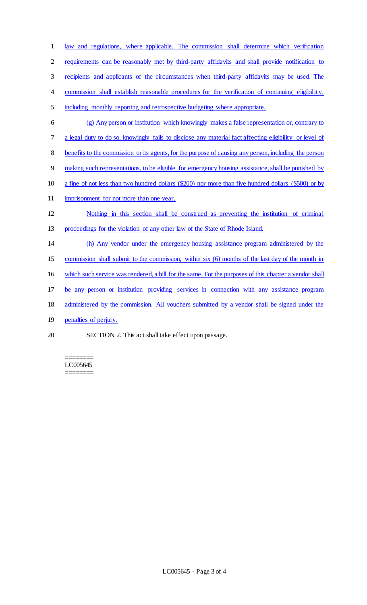law and regulations, where applicable. The commission shall determine which verification requirements can be reasonably met by third-party affidavits and shall provide notification to recipients and applicants of the circumstances when third-party affidavits may be used. The 4 commission shall establish reasonable procedures for the verification of continuing eligibility, including monthly reporting and retrospective budgeting where appropriate. (g) Any person or institution which knowingly makes a false representation or, contrary to a legal duty to do so, knowingly fails to disclose any material fact affecting eligibility or level of benefits to the commission or its agents, for the purpose of causing any person, including the person making such representations, to be eligible for emergency housing assistance, shall be punished by a fine of not less than two hundred dollars (\$200) nor more than five hundred dollars (\$500) or by 11 imprisonment for not more than one year. Nothing in this section shall be construed as preventing the institution of criminal proceedings for the violation of any other law of the State of Rhode Island. (h) Any vendor under the emergency housing assistance program administered by the commission shall submit to the commission, within six (6) months of the last day of the month in which such service was rendered, a bill for the same. For the purposes of this chapter a vendor shall be any person or institution providing services in connection with any assistance program administered by the commission. All vouchers submitted by a vendor shall be signed under the 19 penalties of perjury. SECTION 2. This act shall take effect upon passage.

======== LC005645 ========